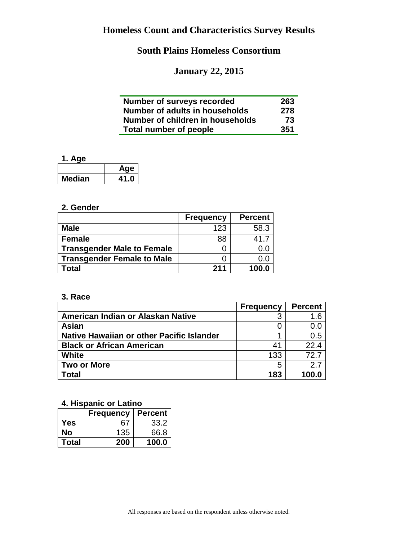# **January 22, 2015**

| Number of surveys recorded       | 263 |
|----------------------------------|-----|
| Number of adults in households   | 278 |
| Number of children in households | 73  |
| <b>Total number of people</b>    | 351 |

### **1. Age**

|               | Age  |
|---------------|------|
| <b>Median</b> | 41.0 |

#### **2. Gender**

|                                   | <b>Frequency</b> | <b>Percent</b> |
|-----------------------------------|------------------|----------------|
| <b>Male</b>                       | 123              | 58.3           |
| <b>Female</b>                     | 88               | 41.7           |
| <b>Transgender Male to Female</b> |                  | 0.0            |
| <b>Transgender Female to Male</b> |                  | 0.0            |
| Total                             | 211              | 100.0          |

#### **3. Race**

|                                           | <b>Frequency</b> | <b>Percent</b> |
|-------------------------------------------|------------------|----------------|
| American Indian or Alaskan Native         |                  | 1.6            |
| Asian                                     |                  | 0.0            |
| Native Hawaiian or other Pacific Islander |                  | 0.5            |
| <b>Black or African American</b>          | 41               | 22.4           |
| <b>White</b>                              | 133              | 72.7           |
| <b>Two or More</b>                        | 5                | 27             |
| Total                                     | 183              | 100.0          |

### **4. Hispanic or Latino**

|              | <b>Frequency</b> | <b>Percent</b> |
|--------------|------------------|----------------|
| <b>Yes</b>   | 67               | 33.2           |
| No           | 135              | 66.8           |
| <b>Total</b> | 200              | 100.0          |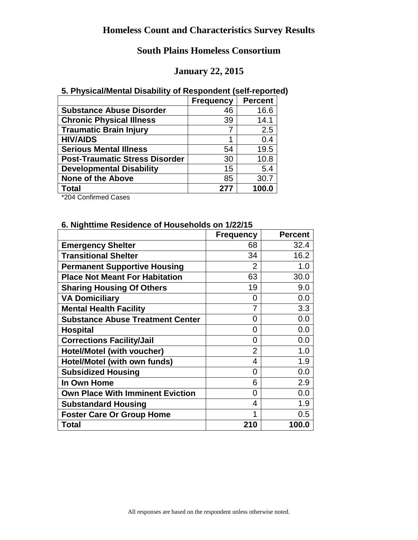### **January 22, 2015**

#### **5. Physical/Mental Disability of Respondent (self-reported)**

|                                       | <b>Frequency</b> | <b>Percent</b> |
|---------------------------------------|------------------|----------------|
| <b>Substance Abuse Disorder</b>       | 46               | 16.6           |
| <b>Chronic Physical Illness</b>       | 39               | 14.1           |
| <b>Traumatic Brain Injury</b>         |                  | 2.5            |
| <b>HIV/AIDS</b>                       | 1                | 0.4            |
| <b>Serious Mental Illness</b>         | 54               | 19.5           |
| <b>Post-Traumatic Stress Disorder</b> | 30               | 10.8           |
| <b>Developmental Disability</b>       | 15               | 5.4            |
| <b>None of the Above</b>              | 85               | 30.7           |
| <b>Total</b>                          | 277              | 100.0          |

\*204 Confirmed Cases

#### **6. Nighttime Residence of Households on 1/22/15**

|                                         | <b>Frequency</b> | <b>Percent</b> |
|-----------------------------------------|------------------|----------------|
| <b>Emergency Shelter</b>                | 68               | 32.4           |
| <b>Transitional Shelter</b>             | 34               | 16.2           |
| <b>Permanent Supportive Housing</b>     | 2                | 1.0            |
| <b>Place Not Meant For Habitation</b>   | 63               | 30.0           |
| <b>Sharing Housing Of Others</b>        | 19               | 9.0            |
| <b>VA Domiciliary</b>                   | 0                | 0.0            |
| <b>Mental Health Facility</b>           |                  | 3.3            |
| <b>Substance Abuse Treatment Center</b> | 0                | 0.0            |
| <b>Hospital</b>                         | O                | 0.0            |
| <b>Corrections Facility/Jail</b>        | 0                | 0.0            |
| Hotel/Motel (with voucher)              | $\overline{2}$   | 1.0            |
| Hotel/Motel (with own funds)            | 4                | 1.9            |
| <b>Subsidized Housing</b>               | 0                | 0.0            |
| In Own Home                             | 6                | 2.9            |
| <b>Own Place With Imminent Eviction</b> | 0                | 0.0            |
| <b>Substandard Housing</b>              | 4                | 1.9            |
| <b>Foster Care Or Group Home</b>        | 1                | 0.5            |
| Total                                   | 210              | 100.0          |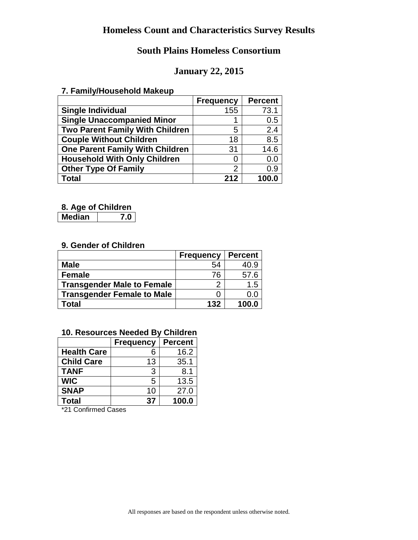## **South Plains Homeless Consortium**

### **January 22, 2015**

#### **7. Family/Household Makeup**

|                                        | <b>Frequency</b> | <b>Percent</b> |
|----------------------------------------|------------------|----------------|
| <b>Single Individual</b>               | 155              | 73.1           |
| <b>Single Unaccompanied Minor</b>      |                  | 0.5            |
| Two Parent Family With Children        | 5                | 2.4            |
| <b>Couple Without Children</b>         | 18               | 8.5            |
| <b>One Parent Family With Children</b> | 31               | 14.6           |
| <b>Household With Only Children</b>    |                  | 0.0            |
| <b>Other Type Of Family</b>            | 2                | 0.9            |
| Total                                  | 212              | 100.0          |

#### **8. Age of Children**

**Median 7.0**

### **9. Gender of Children**

|                                   | <b>Frequency</b> | <b>Percent</b> |
|-----------------------------------|------------------|----------------|
| <b>Male</b>                       | 54               | 40.9           |
| <b>Female</b>                     | 76               | 57.6           |
| <b>Transgender Male to Female</b> |                  | 1.5            |
| <b>Transgender Female to Male</b> |                  | 0.0            |
| Total                             | 132              | 100.0          |

### **10. Resources Needed By Children**

|                    | <b>Frequency</b> | <b>Percent</b> |
|--------------------|------------------|----------------|
| <b>Health Care</b> | 6                | 16.2           |
| <b>Child Care</b>  | 13               | 35.1           |
| <b>TANF</b>        | 3                | 8.1            |
| <b>WIC</b>         | 5                | 13.5           |
| <b>SNAP</b>        | 10               | 27.0           |
| <b>Total</b>       | 37               | 100.0          |

\*21 Confirmed Cases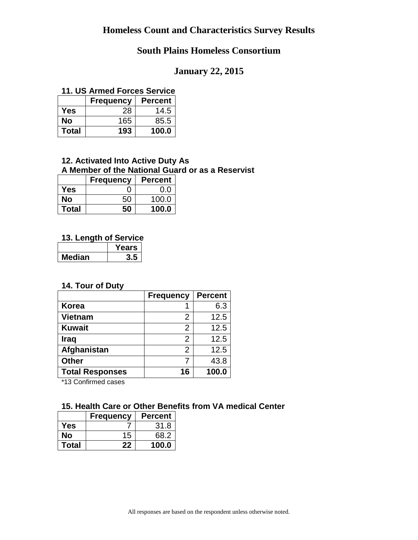## **South Plains Homeless Consortium**

### **January 22, 2015**

#### **11. US Armed Forces Service**

|              | <b>Frequency</b> | <b>Percent</b> |
|--------------|------------------|----------------|
| Yes          | 28               | 14.5           |
| No           | 165              | 85.5           |
| <b>Total</b> | 193              | 100.0          |

#### **12. Activated Into Active Duty As A Member of the National Guard or as a Reservist**

|              | <b>Frequency</b> | <b>Percent</b> |
|--------------|------------------|----------------|
| Yes          |                  | 0.0            |
| No           | 50               | 100.0          |
| <b>Total</b> | 50               | 100.0          |

#### **13. Length of Service**

|        | <b>Years</b> |
|--------|--------------|
| Median |              |

### **14. Tour of Duty**

|                        | <b>Frequency</b> | <b>Percent</b> |
|------------------------|------------------|----------------|
| <b>Korea</b>           |                  | 6.3            |
| <b>Vietnam</b>         | 2                | 12.5           |
| <b>Kuwait</b>          | 2                | 12.5           |
| <b>Iraq</b>            | 2                | 12.5           |
| Afghanistan            | 2                | 12.5           |
| <b>Other</b>           |                  | 43.8           |
| <b>Total Responses</b> | 16               | 100.0          |

\*13 Confirmed cases

### **15. Health Care or Other Benefits from VA medical Center**

|              | <b>Frequency</b> | <b>Percent</b> |
|--------------|------------------|----------------|
| Yes          |                  | 31.8           |
| Nο           | 15               | 68.2           |
| <b>Total</b> | 22               | 100.0          |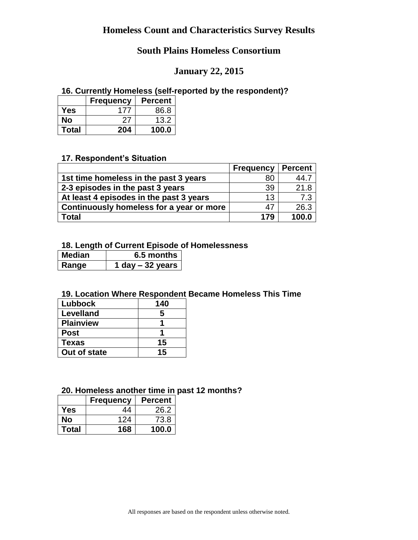## **January 22, 2015**

#### **16. Currently Homeless (self-reported by the respondent)?**

|              | <b>Frequency</b> | <b>Percent</b> |
|--------------|------------------|----------------|
| Yes          | 177              | 86.8           |
| Nο           | ンフ               | 13.2           |
| <b>Total</b> | 204              | 100.0          |

#### **17. Respondent's Situation**

|                                          | <b>Frequency</b> | <b>Percent</b> |
|------------------------------------------|------------------|----------------|
| 1st time homeless in the past 3 years    | 80               | 44.7           |
| 2-3 episodes in the past 3 years         | 39               | 21.8           |
| At least 4 episodes in the past 3 years  | 13               | 7.3            |
| Continuously homeless for a year or more | 47               | 26.3           |
| <b>Total</b>                             | 179              | 100.0          |

#### **18. Length of Current Episode of Homelessness**

| <b>Median</b> | 6.5 months $ $    |
|---------------|-------------------|
| Range         | 1 day $-32$ years |

### **19. Location Where Respondent Became Homeless This Time**

| Lubbock          | 140 |
|------------------|-----|
| <b>Levelland</b> | 5   |
| <b>Plainview</b> |     |
| <b>Post</b>      |     |
| <b>Texas</b>     | 15  |
| Out of state     | 15  |

#### **20. Homeless another time in past 12 months?**

|              | <b>Frequency</b> | <b>Percent</b> |
|--------------|------------------|----------------|
| Yes          | 44               | 26.2           |
| No           | 124              | 73.8           |
| <b>Total</b> | 168              | 100.0          |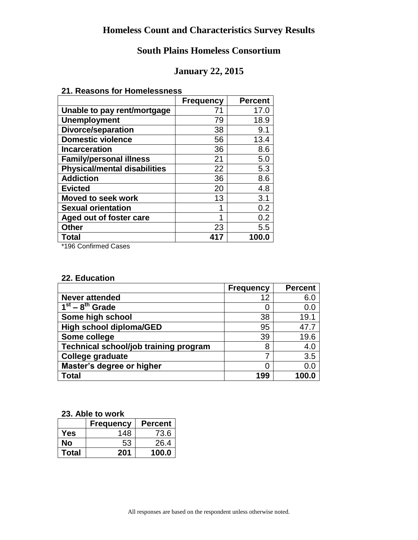### **January 22, 2015**

#### **21. Reasons for Homelessness**

|                                     | <b>Frequency</b> | <b>Percent</b> |
|-------------------------------------|------------------|----------------|
| Unable to pay rent/mortgage         | 71               | 17.0           |
| <b>Unemployment</b>                 | 79               | 18.9           |
| <b>Divorce/separation</b>           | 38               | 9.1            |
| <b>Domestic violence</b>            | 56               | 13.4           |
| <b>Incarceration</b>                | 36               | 8.6            |
| <b>Family/personal illness</b>      | 21               | 5.0            |
| <b>Physical/mental disabilities</b> | 22               | 5.3            |
| <b>Addiction</b>                    | 36               | 8.6            |
| <b>Evicted</b>                      | 20               | 4.8            |
| <b>Moved to seek work</b>           | 13               | 3.1            |
| <b>Sexual orientation</b>           | ◢                | 0.2            |
| Aged out of foster care             | 1                | 0.2            |
| <b>Other</b>                        | 23               | 5.5            |
| Total                               | 417              | 100.0          |

\*196 Confirmed Cases

#### **22. Education**

|                                       | <b>Frequency</b> | <b>Percent</b> |
|---------------------------------------|------------------|----------------|
| <b>Never attended</b>                 | 12               | 6.0            |
| $1st - 8th$ Grade                     |                  | 0.0            |
| Some high school                      | 38               | 19.1           |
| <b>High school diploma/GED</b>        | 95               | 47.7           |
| Some college                          | 39               | 19.6           |
| Technical school/job training program | 8                | 4.0            |
| <b>College graduate</b>               |                  | 3.5            |
| Master's degree or higher             |                  | 0.0            |
| Total                                 | 199              | 100.0          |

#### **23. Able to work**

|              | <b>Frequency</b> | <b>Percent</b> |
|--------------|------------------|----------------|
| Yes          | 148              | 73.6           |
| Nο           | 53               | 26.4           |
| <b>Total</b> | 201              | 100.0          |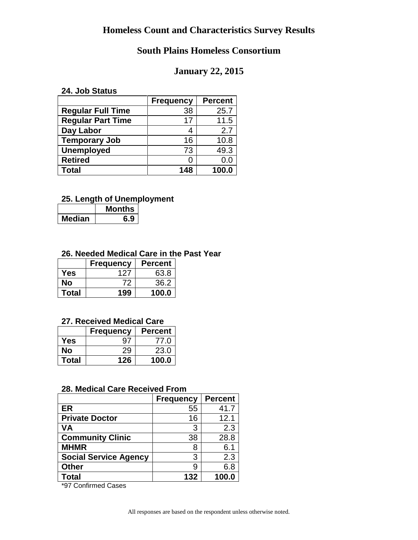## **South Plains Homeless Consortium**

## **January 22, 2015**

#### **24. Job Status**

|                          | <b>Frequency</b> | <b>Percent</b> |
|--------------------------|------------------|----------------|
| <b>Regular Full Time</b> | 38               | 25.7           |
| <b>Regular Part Time</b> | 17               | 11.5           |
| Day Labor                |                  | 2.7            |
| <b>Temporary Job</b>     | 16               | 10.8           |
| <b>Unemployed</b>        | 73               | 49.3           |
| <b>Retired</b>           |                  | 0.0            |
| <b>Total</b>             | 148              | 100.0          |

## **25. Length of Unemployment**

|        | <b>Months</b> |  |
|--------|---------------|--|
| Median |               |  |

#### **26. Needed Medical Care in the Past Year**

|              | <b>Frequency</b> | <b>Percent</b> |
|--------------|------------------|----------------|
| Yes          | 127              | 63.8           |
| Nο           | 72               | 36.2           |
| <b>Total</b> | 199              | 100.0          |

#### **27. Received Medical Care**

|              | <b>Frequency</b> | <b>Percent</b> |
|--------------|------------------|----------------|
| Yes          | Q.               | 77.0           |
| Nο           | 29               | 23.0           |
| <b>Total</b> | 126              | 100.0          |

#### **28. Medical Care Received From**

|                              | <b>Frequency</b> | <b>Percent</b> |
|------------------------------|------------------|----------------|
| ER                           | 55               | 41.7           |
| <b>Private Doctor</b>        | 16               | 12.1           |
| <b>VA</b>                    | 3                | 2.3            |
| <b>Community Clinic</b>      | 38               | 28.8           |
| <b>MHMR</b>                  | 8                | 6.1            |
| <b>Social Service Agency</b> | 3                | 2.3            |
| <b>Other</b>                 | 9                | 6.8            |
| <b>Total</b>                 | 132              | 100.0          |

\*97 Confirmed Cases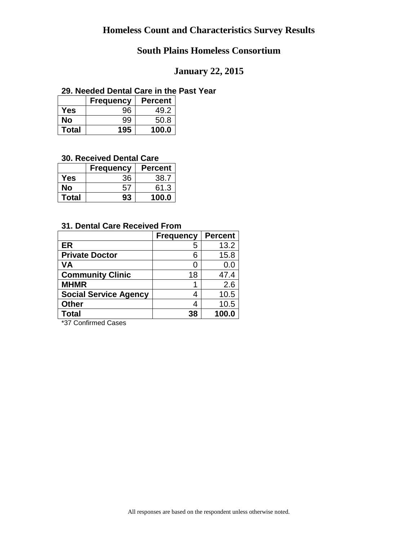## **South Plains Homeless Consortium**

## **January 22, 2015**

#### **29. Needed Dental Care in the Past Year**

|       | <b>Frequency</b> | <b>Percent</b> |
|-------|------------------|----------------|
| Yes   | 96               | 49.2           |
| No    | 99               | 50.8           |
| Total | 195              | 100.0          |

#### **30. Received Dental Care**

|       | <b>Frequency</b> | <b>Percent</b> |
|-------|------------------|----------------|
| Yes   | 36               | 38.7           |
| Nο    | 57               | 61.3           |
| Total | 93               | 100.0          |

#### **31. Dental Care Received From**

|                              | <b>Frequency</b> | <b>Percent</b> |
|------------------------------|------------------|----------------|
| <b>ER</b>                    | 5                | 13.2           |
| <b>Private Doctor</b>        | 6                | 15.8           |
| <b>VA</b>                    |                  | 0.0            |
| <b>Community Clinic</b>      | 18               | 47.4           |
| <b>MHMR</b>                  |                  | 2.6            |
| <b>Social Service Agency</b> | 4                | 10.5           |
| <b>Other</b>                 | 4                | 10.5           |
| <b>Total</b>                 | 38               | 100.0          |

\*37 Confirmed Cases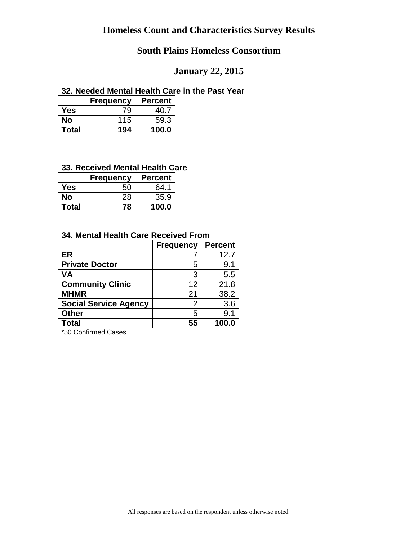## **January 22, 2015**

#### **32. Needed Mental Health Care in the Past Year**

|              | <b>Frequency</b> | <b>Percent</b> |
|--------------|------------------|----------------|
| Yes          | 79               | 40.7           |
| No           | 115              | 59.3           |
| <b>Total</b> | 194              | 100.0          |

### **33. Received Mental Health Care**

|              | <b>Frequency</b> | <b>Percent</b> |
|--------------|------------------|----------------|
| Yes          | 50               | 64.1           |
| Nο           | 28               | 35.9           |
| <b>Total</b> | 78               | 100.0          |

#### **34. Mental Health Care Received From**

|                              | <b>Frequency</b> | <b>Percent</b> |
|------------------------------|------------------|----------------|
| <b>ER</b>                    |                  | 12.7           |
| <b>Private Doctor</b>        | 5                | 9.1            |
| <b>VA</b>                    | 3                | 5.5            |
| <b>Community Clinic</b>      | 12               | 21.8           |
| <b>MHMR</b>                  | 21               | 38.2           |
| <b>Social Service Agency</b> | 2                | 3.6            |
| <b>Other</b>                 | 5                | 9.1            |
| <b>Total</b>                 | 55               | 100.0          |

\*50 Confirmed Cases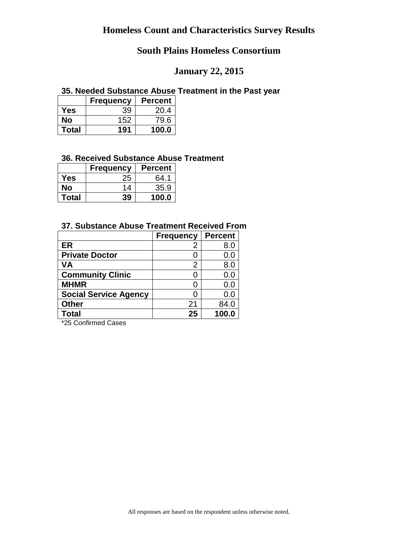## **January 22, 2015**

#### **35. Needed Substance Abuse Treatment in the Past year**

|              | <b>Frequency</b> | <b>Percent</b> |
|--------------|------------------|----------------|
| Yes          | 39               | 20.4           |
| Nο           | 152              | 79.6           |
| <b>Total</b> | 191              | 100.0          |

#### **36. Received Substance Abuse Treatment**

|              | <b>Frequency</b> | <b>Percent</b> |
|--------------|------------------|----------------|
| Yes          | 25               | 64.1           |
| Nο           | 14               | 35.9           |
| <b>Total</b> | 39               | 100.0          |

## **37. Substance Abuse Treatment Received From**

|                              | <b>Frequency</b> | <b>Percent</b> |
|------------------------------|------------------|----------------|
| <b>ER</b>                    | 2                | 8.0            |
| <b>Private Doctor</b>        |                  | 0.0            |
| VA                           | 2                | 8.0            |
| <b>Community Clinic</b>      |                  | 0.0            |
| <b>MHMR</b>                  |                  | 0.0            |
| <b>Social Service Agency</b> |                  | 0.0            |
| <b>Other</b>                 | 21               | 84.0           |
| Total                        | 25               | 100.0          |

\*25 Confirmed Cases